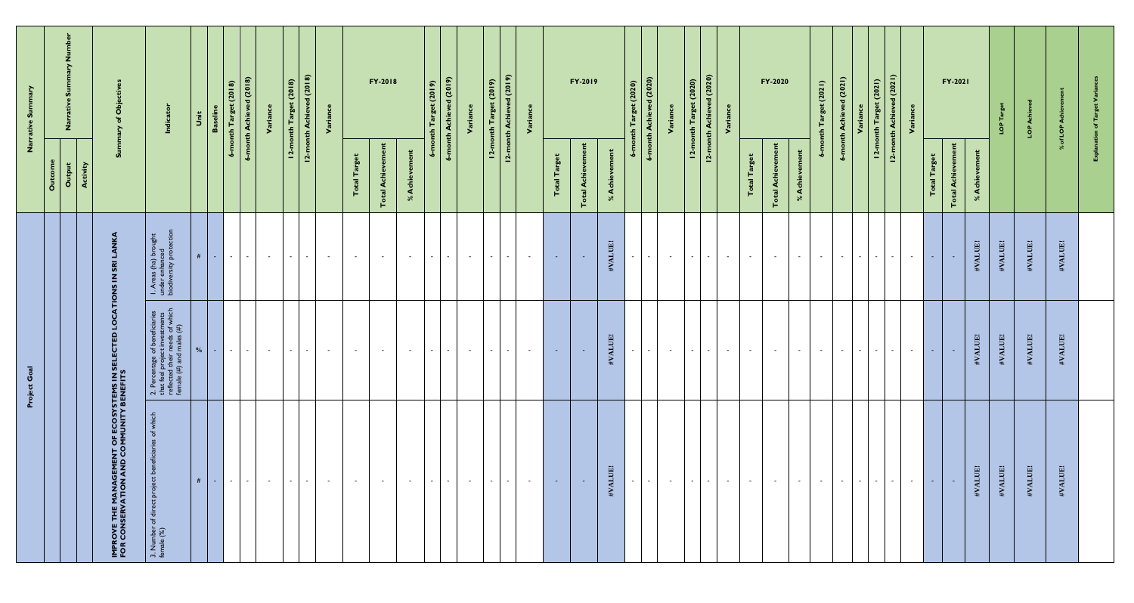|                                                                                        | Project Goal                                                                                                                                   |                                                                                     |                                      | mary<br>Narrative                                       |
|----------------------------------------------------------------------------------------|------------------------------------------------------------------------------------------------------------------------------------------------|-------------------------------------------------------------------------------------|--------------------------------------|---------------------------------------------------------|
|                                                                                        |                                                                                                                                                |                                                                                     | Outcome                              |                                                         |
|                                                                                        |                                                                                                                                                |                                                                                     | Activity<br>Output                   |                                                         |
| IMPROVE THE MANAGEMENT OF ECOSYSTEMS IN SEL<br>FOR CONSERVATION AND COMMUNITY BENEFITS | ူ                                                                                                                                              |                                                                                     | ี ดี                                 | <b>Obje</b>                                             |
| which<br>$\sigma$<br>ທ<br>roject ber<br>3. Number of direct pro<br>female (%)          | investment<br>eeds of whi<br>nales (#)<br>2. Percentage of b<br>that feel project in<br>reflected their ne<br>female $\left(\# \right)$ and ma | as (ha) bro<br>enhanced<br>srsity prot<br>$\frac{4}{1}$ $\frac{8}{5}$ $\frac{8}{5}$ |                                      | Indicator                                               |
| $\#$ $\Box$                                                                            | $\frac{9}{6}$                                                                                                                                  | #                                                                                   |                                      | Unit                                                    |
| $\sim$ $\sim$ $\sim$                                                                   | $\sim 100$<br>$\sim$ 1                                                                                                                         | $\sim$ 100 $\mu$<br><b>Contract</b>                                                 |                                      | $6$ -month $Target(2018)$<br><b>Baselir</b>             |
| $\sim$ $-$                                                                             | $\sim$ $-$                                                                                                                                     | $\sim$ 10 $\pm$                                                                     |                                      | 6-month Achieved (2018)                                 |
| $\sim$                                                                                 | $\sim 10^{-1}$                                                                                                                                 | $\sim$                                                                              |                                      | Variance                                                |
| $-1$                                                                                   | $\mathbf{1}$ $\mathbf{1}$                                                                                                                      | $\sim$ 10 $\pm$                                                                     |                                      | 12-month Target (2018)                                  |
| $\sim$ $-$                                                                             | $\sim$ $ \sim$                                                                                                                                 | $\sim$ $-$                                                                          |                                      | 10(2018)<br>12-month Achie                              |
| $\sim$ $-$                                                                             | $\sim 100$                                                                                                                                     | $\sim$ $-$                                                                          |                                      | Variance                                                |
| $\sim$ $-$                                                                             | $\sim 100$                                                                                                                                     | $\sim$ $ \sim$                                                                      | Target<br>Total                      |                                                         |
| $\sim$ $-$                                                                             | $\sim 10^{-11}$                                                                                                                                | $\sim$                                                                              | ement<br>Achi<br>Total               | FY-2018                                                 |
| $\sim$ $-$                                                                             | $\sim 10^{-11}$                                                                                                                                | $\sim$                                                                              | nent<br>Achi<br>$\infty$             |                                                         |
| $\sim$ $-$                                                                             | $\sim 10^{-1}$                                                                                                                                 | $\sim$                                                                              | $6 - m$ o                            | nth Target (2019)                                       |
| $\sim$ $\sim$                                                                          |                                                                                                                                                | $\sim$                                                                              | $6 - m$ on                           | (5019)<br><b>th Achie</b>                               |
| $\sim$ $-$                                                                             | $\sim 10^{-11}$                                                                                                                                | $\sim$                                                                              |                                      | Varia                                                   |
| $-1$                                                                                   | l - 1 - 1                                                                                                                                      | $\sim$<br>$\sim 100$                                                                | $2$ -mol<br>$\overline{\phantom{a}}$ | d(2019)<br>12-month Target (2019)<br>th Achiev          |
| $\sim$ 100 $\mu$<br>$\sim$ 100 $\sim$                                                  | $\sim 100$ m $^{-1}$                                                                                                                           | $\sim$ $-$                                                                          |                                      |                                                         |
|                                                                                        |                                                                                                                                                |                                                                                     |                                      |                                                         |
| <b>Contract</b>                                                                        | $\sim 10^{-1}$                                                                                                                                 | $\sim$ $-$                                                                          | get<br>Total Tar                     |                                                         |
| <b>Contract</b>                                                                        | <b>Contract</b>                                                                                                                                | <b>COL</b>                                                                          | vement<br><b>Total Achi</b>          | FY-2019                                                 |
| #VALUE!                                                                                | #VALUE!                                                                                                                                        | #VALUE!                                                                             | ment<br>Achi<br>$\%$                 |                                                         |
| $\sim 100$                                                                             | $\sim 100$                                                                                                                                     | $\sim$                                                                              |                                      | 6-month Target (2020)                                   |
| $\sim$ $-$                                                                             | $\sim 10^{-1}$                                                                                                                                 | $\sim$                                                                              |                                      | 6-month Achieved (2020)                                 |
| $\sim$                                                                                 | $\sim$ $-$                                                                                                                                     | $\sim$                                                                              |                                      | Variance                                                |
| $\sim$ $\sim$ $\sim$<br>$\sim$ $-$                                                     | $\sim$ $-$<br>$-1$                                                                                                                             | $\sim$ 10 $\pm$<br>$\sim$ $-$                                                       |                                      | red (2020)<br>12-month Target (2020)<br>12-month Achiev |
| $\sim$ $ \sim$                                                                         | $\sim$ $-$                                                                                                                                     | $\sim$ $-$                                                                          |                                      | Variance                                                |
| $\sim$ 100 $\mu$                                                                       | $\sim 10^{-11}$                                                                                                                                | $\sim$ $-$                                                                          | <b>Total Target</b>                  |                                                         |
| $\sim$ $-$                                                                             | $\sim$ $-$                                                                                                                                     | $\sim$ $-$                                                                          | ement<br><b>Total Achi</b>           | FY-2020                                                 |
| $\sim$ 100 $\mu$                                                                       | $\sim 100$ m $^{-1}$                                                                                                                           | $\sim$ 100 $\mu$                                                                    | ment<br>Achi<br>$\aleph$             |                                                         |
| $\sim 100$                                                                             | $\sim 10^{-10}$ km s $^{-1}$                                                                                                                   | $\sim$ $ \sim$                                                                      | g<br>۰ö                              | (2021)<br>ِ ب<br>Targer<br>t                            |
| $\sim$ 100 $\mu$                                                                       | $\sim$ $\sim$ $\sim$ $\sim$ $\sim$ $\sim$                                                                                                      | $\sim$                                                                              | $6 - m$ on                           | d(2021)<br>Achi                                         |
| $\sim$ 10 $\pm$<br>$\sim$ $-$                                                          | $\sim$                                                                                                                                         | $\sim$ 10 $\pm$<br>$\sim$ $-$                                                       | $12 -$                               | t(2021)<br>Variance<br>nth Ta                           |
| $\sim$                                                                                 | $\sim$ $-$                                                                                                                                     |                                                                                     | $12-r$                               | d(2021)<br>Ach<br>$\mathbf{E}$                          |
| $\sim$ $-$                                                                             | $\sim$ $-$                                                                                                                                     | $\sim$                                                                              |                                      | Varia                                                   |
| <b>Contract</b>                                                                        | $\sim 10^{-1}$                                                                                                                                 | <b>A</b>                                                                            | <b>Total Target</b>                  |                                                         |
| $\sim$ $ \sim$                                                                         | <b>Contract</b>                                                                                                                                | $\sim$ $-$                                                                          | evement<br><b>Total Achi</b>         | <b>FY-2021</b>                                          |
| #VALUE!                                                                                | #VALUE!                                                                                                                                        | #VALUE!                                                                             | ment<br>Achie<br>$\infty$            |                                                         |
| #VALUE!                                                                                | #VALUE!                                                                                                                                        | #VALUE!                                                                             |                                      |                                                         |
| #VALUE!                                                                                | #VALUE!                                                                                                                                        | #VALUE!                                                                             |                                      | LOP                                                     |
| #VALUE!                                                                                | JUE!<br>HVAL                                                                                                                                   | #VALUE!                                                                             | ್ನ                                   | <u>io</u>                                               |
|                                                                                        |                                                                                                                                                |                                                                                     |                                      |                                                         |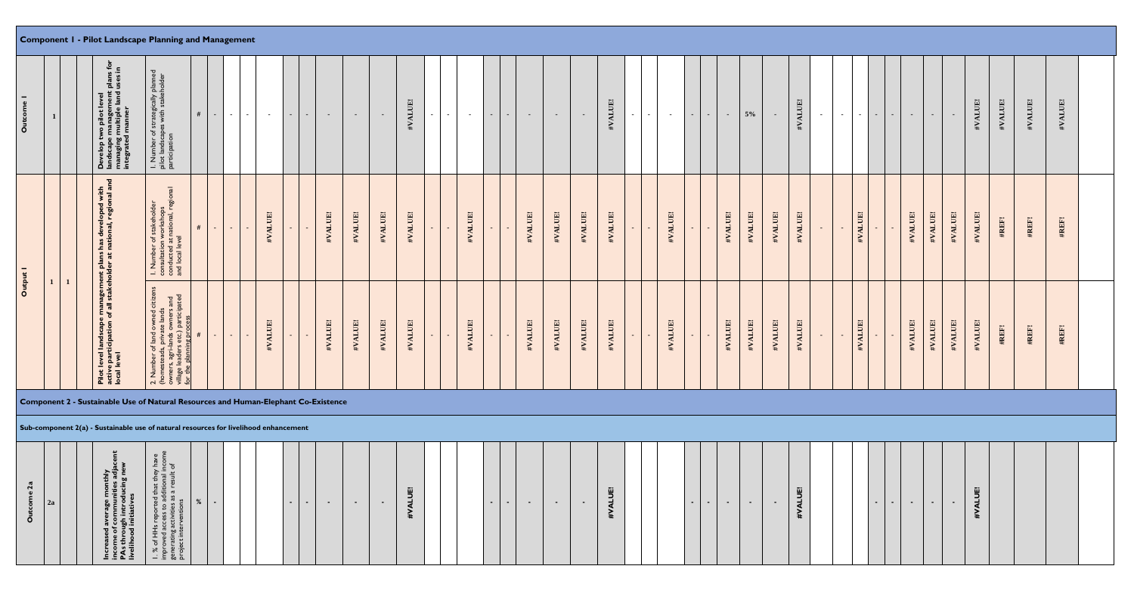## **Component 1 - Pilot Landscape Planning and Management**

|                 | $\mathbf{1}$ | Develop two pilot level<br>  landscape management plans for<br>  managing multiple land uses in<br>  integrated manner                        | I. Number of strategically planne<br>pilot landscapes with stakeholder<br>participation                                                                                                                                                                                                                                                                                                                                                                      | #<br>$\sim$ $-$ | $\sim$ $\sim$ $\sim$ $\sim$ | $\sim$ $\sim$ $\sim$ | $\sim 100$ | $\sim 100$       | $\sim 100$       | $\sim$ $-$ | $\sim$ $-$ | $\sim$  | #VALUE! | $\sim$ 10 $\pm$ | $\sim 100$ | $\sim$<br>$\sim$          | $\sim$  | $\sim$ $-$ | $\sim$ $-$ | #VALUE! | $\sim$<br>$\sim$ $-$ | $\sim 100$ | $\sim$ $-$ | $\sim$ | $5\%$<br>$\sim$ $-$ | $\sim$  | #VALUE! | $\sim$ 100 $\mu$ | $\sim$ $-$        | $\sim$ 10 $\pm$<br>$\sim$ $-$ | $\sim$ | $\sim$ $-$ | $\sim$ 10 $\pm$ | $\sim$  | #VALUE! | #VALUE! | #VALUE! | #VALUE! |  |
|-----------------|--------------|-----------------------------------------------------------------------------------------------------------------------------------------------|--------------------------------------------------------------------------------------------------------------------------------------------------------------------------------------------------------------------------------------------------------------------------------------------------------------------------------------------------------------------------------------------------------------------------------------------------------------|-----------------|-----------------------------|----------------------|------------|------------------|------------------|------------|------------|---------|---------|-----------------|------------|---------------------------|---------|------------|------------|---------|----------------------|------------|------------|--------|---------------------|---------|---------|------------------|-------------------|-------------------------------|--------|------------|-----------------|---------|---------|---------|---------|---------|--|
|                 |              |                                                                                                                                               | ਨ<br>ႜၜ<br>I. Number of stakeholder<br>consultation workshops<br>conducted at national, reg<br>and local level                                                                                                                                                                                                                                                                                                                                               | #<br>$\sim$ $-$ | li se i                     | $\sim$               | #VALUE!    | $\sim$           | $\sim$           | #VALUE!    | #VALUE!    | #VALUE! | #VALUE! | $\sim 10$       | #VALUE!    | $\sim$<br>$\sim$          | #VALUE! | #VALUE!    | #VALUE!    | #VALUE! | $\sim$<br>$\sim$     | #VALUE!    | $\sim$     |        | #VALUE!<br>#VALUE!  | #VALUE! | #VALUE! | $\sim$ $-$       | #VALUE!<br>$\sim$ | $\sim$                        | $\sim$ | #VALUE!    | #VALUE!         | #VALUE! | #VALUE! | #REF!   | #REF!   | #REF!   |  |
| $\circ$         | $\mathbf{1}$ | Pilot level landscape management plans has developed with<br>active participation of all stakeholder at national, regional and<br>local level | r of land owned citizen<br>ads, private lands<br>gri-lands owners and<br>ders etc.) participated<br>anning process<br>nber<br>stea,<br>and all<br>and all<br>2. Num<br>(homer<br>owners<br>for the                                                                                                                                                                                                                                                           | $\sim$ $-$      |                             | $\sim$ 100 $\pm$     | #VALUE!    | $\sim$           | <b>Section</b>   | #VALUE!    | #VALUE!    | #VALUE! | #VALUE! | $\sim 100$      | #VALUE!    | $\sim$<br>$\sim$ 10 $\pm$ | #VALUE! | #VALUE!    | #VALUE!    | #VALUE! | $\sim$ $-$<br>$\sim$ | #VALUE!    | $\sim$     | $\sim$ | #VALUE!<br>#VALUE!  | #VALUE! | #VALUE! | $\sim$ $-$       | #VALUE!<br>$\sim$ | $\sim$                        | $\sim$ | #VALUE!    | #VALUE!         | #VALUE! | #VALUE! | #REF!   | #REF!   | #REF!   |  |
|                 |              | Component 2 - Sustainable Use of Natural Resources and Human-Elephant Co-Existence                                                            |                                                                                                                                                                                                                                                                                                                                                                                                                                                              |                 |                             |                      |            |                  |                  |            |            |         |         |                 |            |                           |         |            |            |         |                      |            |            |        |                     |         |         |                  |                   |                               |        |            |                 |         |         |         |         |         |  |
|                 |              | Sub-component 2(a) - Sustainable use of natural resources for livelihood enhancement                                                          |                                                                                                                                                                                                                                                                                                                                                                                                                                                              |                 |                             |                      |            |                  |                  |            |            |         |         |                 |            |                           |         |            |            |         |                      |            |            |        |                     |         |         |                  |                   |                               |        |            |                 |         |         |         |         |         |  |
| me 2a<br>Outcor | 2a           | e monthly<br>unities adja<br>oducing ne                                                                                                       | reported that they have<br>cess to additional income<br>tivities as a result of<br>ventions<br>of HH <sub>s</sub><br>roved acc<br>ぷ 戸<br>$ \frac{1}{2}$ $\frac{1}{2}$ $\frac{1}{2}$ $\frac{1}{2}$ $\frac{1}{2}$ $\frac{1}{2}$ $\frac{1}{2}$ $\frac{1}{2}$ $\frac{1}{2}$ $\frac{1}{2}$ $\frac{1}{2}$ $\frac{1}{2}$ $\frac{1}{2}$ $\frac{1}{2}$ $\frac{1}{2}$ $\frac{1}{2}$ $\frac{1}{2}$ $\frac{1}{2}$ $\frac{1}{2}$ $\frac{1}{2}$ $\frac{1}{2}$ $\frac{1}{2$ | %<br>$\sim$     |                             |                      |            | $\sim$ 100 $\pm$ | $\sim$ 100 $\pm$ | $\sim$ $-$ | $\sim$     | $\sim$  | #VALUE! |                 |            | $\sim$<br>$\sim$          | $\sim$  | $\sim$     | $\sim$     | #VALUE! |                      |            | $\sim$     | $\sim$ | $\sim$<br>$\sim$    | $\sim$  | #VALUE! |                  |                   | $\sim$ $-$                    | $\sim$ | $\sim$ $-$ | $\sim$ $-$      | $\sim$  | #VALUE! |         |         |         |  |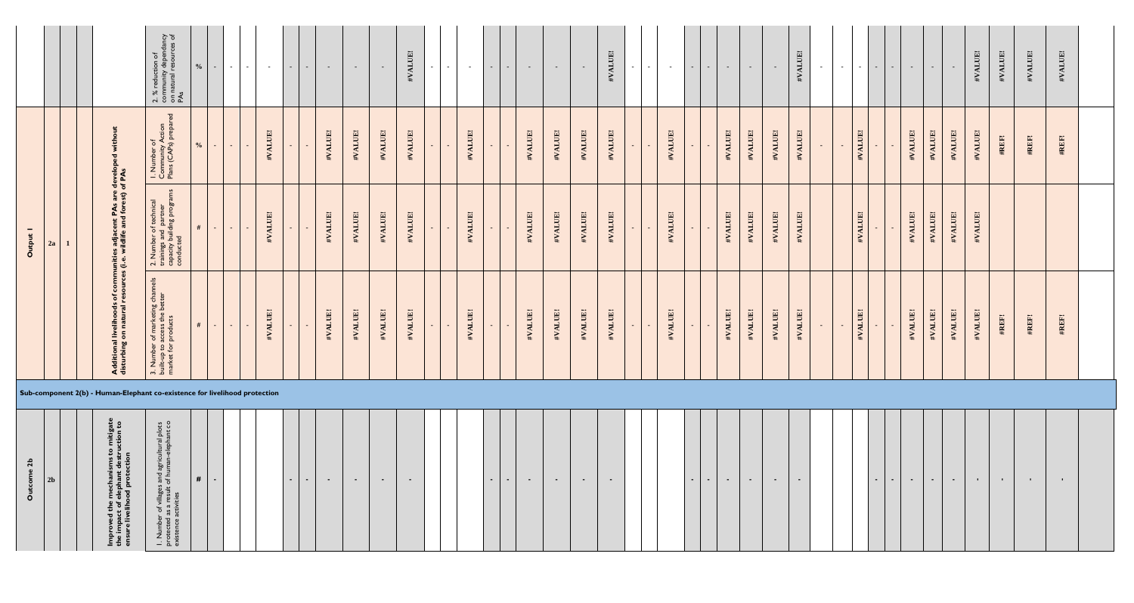|                         |                                                                            |                                                                                                                      | 2. % reduction of<br>community dependancy<br>on natural resources of<br>PAs                                        | $\frac{0}{0}$ | $\sim$     | $\sim 10^{-11}$<br>$\sim$ $-$ | $\sim$ $ \sim$ | $\sim$ 10 $\pm$<br>$\sim$ $-$ | $\sim$ $-$ | $\sim$ $-$ | $\sim$ $-$ | #VALUE! | $\sim$<br>$\sim$ $-$     | $\sim$  | $\sim$           | $\sim$ $-$ | $\sim$  | $\sim$ $-$ | $\sim$  | #VALUE! | $\sim$ | $\sim$ $-$ | $\sim$  | $\sim$ $-$ | $\sim$  | $\sim$  | $\sim$  | #VALUE! | $\sim$ $-$ | $\sim 100$ | $\sim$<br>$\sim$ 10 $\pm$ | $\sim$ | $\sim$           | $\sim$ $-$ | $\sim$  | #VALUE!        | #VALUE!          | #VALUE!        | #VALUE!      |  |
|-------------------------|----------------------------------------------------------------------------|----------------------------------------------------------------------------------------------------------------------|--------------------------------------------------------------------------------------------------------------------|---------------|------------|-------------------------------|----------------|-------------------------------|------------|------------|------------|---------|--------------------------|---------|------------------|------------|---------|------------|---------|---------|--------|------------|---------|------------|---------|---------|---------|---------|------------|------------|---------------------------|--------|------------------|------------|---------|----------------|------------------|----------------|--------------|--|
|                         |                                                                            |                                                                                                                      | ුත<br>I. Number of<br>Community Action<br>Plans (CAPs) prepare                                                     | $\frac{0}{0}$ | $\sim$ $-$ | $\sim 10$<br>$\sim$           | #VALUE!        | $\sim$                        | #VALUE!    | #VALUE!    | #VALUE!    | #VALUE! | $\sim$<br>$\sim$         | #VALUE! |                  | $\sim$     | #VALUE! | #VALUE!    | #VALUE! | #VALUE! | $\sim$ |            | #VALUE! | $\sim$ $-$ | #VALUE! | #VALUE! | #VALUE! | #VALUE! | $\sim$     | #VALUE!    | $\sim$                    |        | #VALUE!          | #VALUE!    | #VALUE! | #VALUE!        | #REF!            | #REF!          | #REF!        |  |
| Output 1                | 2a                                                                         | al livelihoods of communities adjacent PAs are developed<br>g on natural resources (i.e. wildlife and forest) of PAs | 2. Number of technical<br>trainings and partner<br>capacity building programs<br>conducted                         | #             | $\sim$ 1   | $\sim 100$<br>$\sim$          | #VALUE!        | $\sim$                        | #VALUE!    | #VALUE!    | #VALUE!    | #VALUE! | $\sim$<br>$\sim$         | #VALUE! | $\sim$           | $\sim$     | #VALUE! | #VALUE!    | #VALUE! | #VALUE! | $\sim$ |            | #VALUE! | $\sim$ $-$ | #VALUE! | #VALUE! | #VALUE! | #VALUE! |            | #VALUE!    |                           |        | #VALUE!          | #VALUE!    | #VALUE! | #VALUE!        |                  |                |              |  |
|                         |                                                                            | <b>Additiona</b><br>disturbing                                                                                       | 3. Number of marketing chann<br>built-up to access the better<br>market for products                               | #             | $\sim 100$ | $\sim 10$<br>$\sim$           | #VALUE!        | $\sim$                        | #VALUE!    | #VALUE!    | #VALUE!    | #VALUE! | $\blacksquare$<br>$\sim$ | #VALUE! |                  | $\sim$     | #VALUE! | #VALUE!    | #VALUE! | #VALUE! | $\sim$ | $\sim$     | #VALUE! | $\sim$ $-$ | #VALUE! | #VALUE! | #VALUE! | #VALUE! | $\sim$     | #VALUE!    | $\sim$                    |        | #VALUE!          | #VALUE!    | #VALUE! | #VALUE!        | #REF!            | #REF!          | #REF!        |  |
|                         | Sub-component 2(b) - Human-Elephant co-existence for livelihood protection |                                                                                                                      |                                                                                                                    |               |            |                               |                |                               |            |            |            |         |                          |         |                  |            |         |            |         |         |        |            |         |            |         |         |         |         |            |            |                           |        |                  |            |         |                |                  |                |              |  |
| $\mathbf{a}$<br>Outcome | 2 <sub>b</sub>                                                             | Improved the mechanisms to mitigat<br>the impact of elephant destruction to<br>ensure livelihood protection          | I. Number of villages and agricultural plots<br>protected as a result of human-elephant co<br>existence activities | #             | $\sim$     |                               |                | $\sim$                        | $\sim$     | $\sim$     | $\sim$     | $\sim$  |                          |         | $\sim$ 100 $\pm$ | $\sim$ $-$ | $\sim$  | $\sim$ $-$ | $\sim$  | $\sim$  |        |            |         | $\sim$ $-$ | $\sim$  | $\sim$  | $\sim$  | $\sim$  |            |            | $\sim$ $-$                | $\sim$ | $\sim$ 100 $\pm$ | $\sim$     | $\sim$  | $\mathbf{H}$ . | $\sim$ 10 $\sim$ | $\mathbf{H}$ . | $\mathbf{L}$ |  |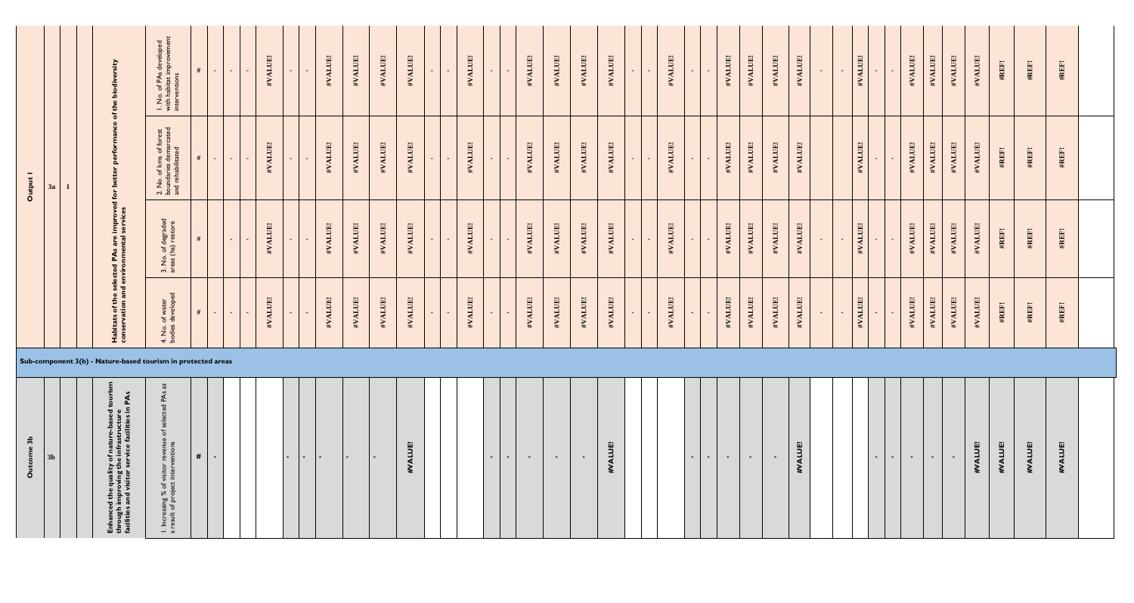| 3 <sub>b</sub><br>Ō                                                                                                                          |                                                              |                                     |                                                                                          | Output 1                                                              |                                                                      |
|----------------------------------------------------------------------------------------------------------------------------------------------|--------------------------------------------------------------|-------------------------------------|------------------------------------------------------------------------------------------|-----------------------------------------------------------------------|----------------------------------------------------------------------|
| 3 <sub>k</sub>                                                                                                                               |                                                              |                                     |                                                                                          | 3a                                                                    |                                                                      |
|                                                                                                                                              |                                                              |                                     |                                                                                          |                                                                       |                                                                      |
| $\mathbf{c}$<br>Enhanced the quality of nature-based<br>through improving the infrastructure<br>facilities and visitor service facilities ir | Sub-component 3(b) - Nature-based tourism in protected areas |                                     | Habitats of the selected PAs are improved for<br>conservation and environmental services | ပ္ပ<br>better                                                         | sity<br>the biodiv<br>$\mathbf{b}$                                   |
| . Increasing % of visitor reve<br>result of project interventio                                                                              |                                                              | 4. No. of water<br>bodies developed | 3. No. of degraded<br>areas (ha) restore                                                 | 2. No. of kms of forest<br>boundaries demarcated<br>and rehabilitated | I. No. of PAs developed<br>with habitat improvement<br>interventions |
| #<br>$\sim$                                                                                                                                  |                                                              | #<br>$\sim$ $-$                     | #                                                                                        | $\sim$ $-$                                                            | #<br><b>Contract</b>                                                 |
|                                                                                                                                              |                                                              | $\sim$ $-$<br>$\sim$                | $\sim 100$                                                                               | $\sim 10^{-1}$<br>$\sim$                                              | $\sim$ 100 $\mu$<br>$\sim$                                           |
|                                                                                                                                              |                                                              | #VALUE!                             | #VALUE!                                                                                  | #VALUE!                                                               | #VALUE!                                                              |
|                                                                                                                                              |                                                              | ÷.                                  | $\sim$                                                                                   | $\sim$                                                                | $\sim$                                                               |
|                                                                                                                                              |                                                              | #VALUE!                             | #VALUE!                                                                                  | #VALUE!                                                               | #VALUE!                                                              |
|                                                                                                                                              |                                                              | #VALUE!                             | #VALUE!                                                                                  | #VALUE!                                                               | #VALUE!                                                              |
|                                                                                                                                              |                                                              | #VALUE!                             | #VALUE!                                                                                  | #VALUE!                                                               | #VALUE!                                                              |
| 面<br><b>HVALU</b>                                                                                                                            |                                                              | #VALUE!                             | #VALUE!                                                                                  | #VALUE!                                                               | #VALUE!                                                              |
|                                                                                                                                              |                                                              |                                     | $\sim$ $-$                                                                               | $\sim$                                                                | $\sim$                                                               |
|                                                                                                                                              |                                                              | $\sim$                              | $\sim$                                                                                   | $\sim$                                                                | $\sim$                                                               |
|                                                                                                                                              |                                                              | #VALUE!                             | #VALUE!                                                                                  | #VALUE!                                                               | #VALUE!                                                              |
| $\sim$<br>$\sim$                                                                                                                             |                                                              | $\sim$                              | $\sim$                                                                                   | $\sim$<br>$\sim$                                                      | $\sim$<br>$\sim$                                                     |
| $\sim$                                                                                                                                       |                                                              | #VALUE!                             | #VALUE!                                                                                  | #VALUE!                                                               | #VALUE!                                                              |
| $\sim$                                                                                                                                       |                                                              | #VALUE!                             | #VALUE!                                                                                  | #VALUE!                                                               | #VALUE!                                                              |
| $\sim$                                                                                                                                       |                                                              | #VALUE!                             | #VALUE!                                                                                  | #VALUE!                                                               | #VALUE!                                                              |
| 面<br>$\exists$<br>#VA                                                                                                                        |                                                              | #VALUE!                             | #VALUE!                                                                                  | #VALUE!                                                               | #VALUE!                                                              |
|                                                                                                                                              |                                                              | $\sim$<br>$\sim$                    | $\sim$<br>$\sim$                                                                         | $\sim$<br>$\sim$                                                      | $\sim$<br>$\sim$                                                     |
|                                                                                                                                              |                                                              | #VALUE!                             | #VALUE!                                                                                  | #VALUE!                                                               | #VALUE!                                                              |
| $\sim$                                                                                                                                       |                                                              | $\sim$                              | $\sim$                                                                                   | $\sim$                                                                | $\sim$                                                               |
| $\sim$                                                                                                                                       |                                                              | #VALUE!                             | #VALUE!                                                                                  | #VALUE!                                                               | #VALUE!                                                              |
| $\sim$                                                                                                                                       |                                                              | #VALUE!                             | #VALUE!                                                                                  | #VALUE!                                                               | #VALUE!                                                              |
|                                                                                                                                              |                                                              | #VALUE!                             | #VALUE!                                                                                  | #VALUE!                                                               | #VALUE!                                                              |
| <b>ISUTAK</b> :<br>牡                                                                                                                         |                                                              | #VALUE!                             | #VALUE!                                                                                  | #VALUE!                                                               | #VALUE!                                                              |
|                                                                                                                                              |                                                              | $\sim$                              | $\sim$ $\sim$                                                                            |                                                                       | $\sim$ $\sim$                                                        |
|                                                                                                                                              |                                                              | #VALUE!                             | IHITVA#<br>$\sim$                                                                        | $\mathbf{i}\mathbf{A}\mathbf{L}\mathbf{L}\mathbf{L}\mathbf{R}$        | #VALUE!                                                              |
| $\sim$                                                                                                                                       |                                                              |                                     |                                                                                          |                                                                       |                                                                      |
| $\sim$                                                                                                                                       |                                                              | #VALUE!                             | #VALUE!                                                                                  | #VALUE!                                                               | #VALUE!                                                              |
| $\sim$                                                                                                                                       |                                                              | #VALUE!                             | #VALUE!                                                                                  | #VALUE!                                                               | #VALUE!                                                              |
| $\sim$                                                                                                                                       |                                                              | #VALUE!                             | #VALUE!                                                                                  | #VALUE!                                                               | #VALUE!                                                              |
| #VALUE!                                                                                                                                      |                                                              | #VALUE!                             | #VALUE!                                                                                  | #VALUE!                                                               | #VALUE!                                                              |
| #VALUE!                                                                                                                                      |                                                              | #REF!                               | #REF!                                                                                    | #REF!                                                                 | #REF!                                                                |
| #VALUE!                                                                                                                                      |                                                              | #REF!                               | #REF!                                                                                    | #REF!                                                                 | #REF!                                                                |
| #VALUE!                                                                                                                                      |                                                              | #REF!                               | #REF!                                                                                    | #REF!                                                                 | #REF!                                                                |
|                                                                                                                                              |                                                              |                                     |                                                                                          |                                                                       |                                                                      |

| 3b<br>Outcome | 3 <sub>b</sub> | tourisn<br>PAs<br>Enhanced the quality of nature-based t<br>through improving the infrastructure<br>facilities and visitor service facilities in | SP<br>I. Increasing % of visitor revenue of selected PAs<br>a result of project interventions | $\#$ | ж. |  | $\sim$ | $\blacksquare$ | $\blacksquare$ | $\sim$ | $\overline{\phantom{a}}$ | $\ddot{E}$<br>#VAL |  | $\sim$ | ж. | $\blacksquare$ | $\blacksquare$ | $\overline{\phantom{a}}$ | $\ddot{B}$<br>₹<br>₹ |  |
|---------------|----------------|--------------------------------------------------------------------------------------------------------------------------------------------------|-----------------------------------------------------------------------------------------------|------|----|--|--------|----------------|----------------|--------|--------------------------|--------------------|--|--------|----|----------------|----------------|--------------------------|----------------------|--|
|               |                |                                                                                                                                                  |                                                                                               |      |    |  |        |                |                |        |                          |                    |  |        |    |                |                |                          |                      |  |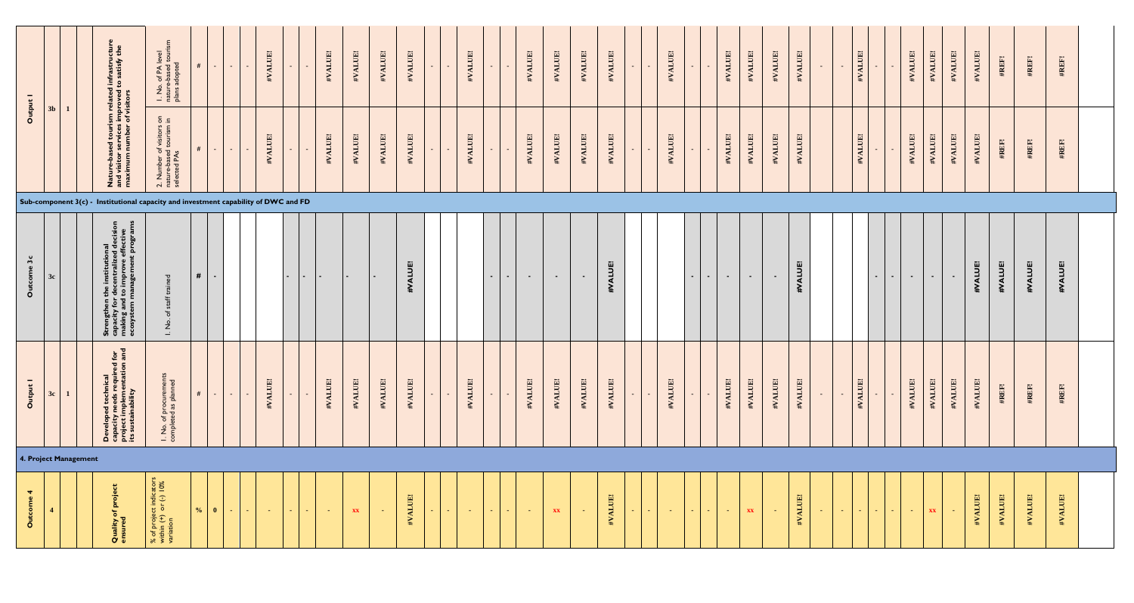| Output    |    |                       | Nature-based tourism related infrastructur<br>and visitor services improved to satisfy the<br>maximum number of visitors    | ξñ<br>I. No. of PA level<br>nature-based tourisr<br>plans adopted<br>5.5<br>2. Number of visitors c<br>nature-based tourism in<br>selected PAs | #<br>#        | $\sim$ $ \sim$<br>$\sim$<br>$\sim$ $-$ | <b>Section</b><br>$\sim$ | #VALUE!<br>#VALUE! | $\sim$<br>$\sim$ 10 $\pm$ |        | #VALUE!<br>#VALUE! | #VALUE!<br>#VALUE! | #VALUE!<br>#VALUE! | #VALUE!<br>#VALUE! | #VALUE!<br>$\sim$<br>#VALUE!<br>$\sim$ | $\sim$<br>$\sim$<br>$\sim$<br>$\sim$ | #VALUE!<br>#VALUE! | #VALUE!<br>#VALUE! | #VALUE!<br>#VALUE! | #VALUE!<br>#VALUE! | $\sim$<br>۰.<br>$\sim$ $-$<br>. – | #VALUE!<br>#VALUE! | $\sim$<br>$\sim$ $-$ | #VALUE!<br>#VALUE!                | #VALUE!<br>#VALUE! | #VALUE!<br>#VALUE! | #VALUE!<br>#VALUE! | $\sim$ $-$ |                 | #VALUE!<br>#VALUE! | $\sim$<br>$\sim$              | #VALUE!<br>#VALUE! | #VALUE!<br>#VALUE! | #VALUE!<br>#VALUE! | #VALUE!<br>#VALUE! | #REF!<br>#REF! | #REF!<br>#REF! | #REF!<br>#REF! |  |
|-----------|----|-----------------------|-----------------------------------------------------------------------------------------------------------------------------|------------------------------------------------------------------------------------------------------------------------------------------------|---------------|----------------------------------------|--------------------------|--------------------|---------------------------|--------|--------------------|--------------------|--------------------|--------------------|----------------------------------------|--------------------------------------|--------------------|--------------------|--------------------|--------------------|-----------------------------------|--------------------|----------------------|-----------------------------------|--------------------|--------------------|--------------------|------------|-----------------|--------------------|-------------------------------|--------------------|--------------------|--------------------|--------------------|----------------|----------------|----------------|--|
|           |    |                       | Sub-component $3(c)$ - Institutional capacity and investment capability of DWC and FD                                       |                                                                                                                                                |               |                                        |                          |                    |                           |        |                    |                    |                    |                    |                                        |                                      |                    |                    |                    |                    |                                   |                    |                      |                                   |                    |                    |                    |            |                 |                    |                               |                    |                    |                    |                    |                |                |                |  |
| ome 3c    | 3c |                       | Strengthen the institutional<br>capacity for decentralized dex<br>making and to improve effect<br>ecosystem management prog | ිය<br>$\overline{P}$                                                                                                                           | #             | $\sim$                                 |                          |                    | $\sim$ 100 $\pm$          | $\sim$ |                    | $\sim$             |                    | #VALUE!            |                                        | $\sim$ $-$<br>$\sim$                 | $\sim$             | $\sim$             | $\sim$ $-$         | #VALUE!            |                                   |                    | $\sim$               | $\sim$ $-$<br>$\sim$ $-$          | $\sim$             | $\sim$ $-$         | #VALUE!            |            |                 |                    | $\sim$ 10 $\pm$<br>$\sim$ $-$ | $\sim$ $-$         | $\sim$ 100 $\mu$   | $\sim$             | #VALUE!            | #VALUE!        | #VALUE!        | #VALUE!        |  |
| Output 1  | 3c |                       | $rac{1}{2}$<br>Developed technical<br>capacity needs required fo<br>project implementation a<br>its sustainability          | I. No. of procuremen<br>completed as planned                                                                                                   | #             | $\sim$ $-$                             |                          | #VALUE!            | $\sim$                    |        | #VALUE!            | #VALUE!            | #VALUE!            | #VALUE!            | #VALUE!<br>$\sim$                      | $\sim$                               | #VALUE!            | #VALUE!            | #VALUE!            | #VALUE!            | $\sim$                            | #VALUE!            | $\sim$               | #VALUE!                           | #VALUE!            | #VALUE!            | #VALUE!            | $\sim$     |                 | #VALUE!            | $\sim$                        | #VALUE!            | #VALUE!            | #VALUE!            | #VALUE!            | #REF!          | #REF!          | #REF!          |  |
|           |    | 4. Project Management |                                                                                                                             |                                                                                                                                                |               |                                        |                          |                    |                           |        |                    |                    |                    |                    |                                        |                                      |                    |                    |                    |                    |                                   |                    |                      |                                   |                    |                    |                    |            |                 |                    |                               |                    |                    |                    |                    |                |                |                |  |
| Outcome 4 |    |                       | <b>Quality of project</b><br>ensured                                                                                        | % of project indicators<br>within (+) or (-) $10\%$<br>variation                                                                               | $\frac{0}{0}$ | $\mathbf{0}$<br><b>Contract</b>        | <b>Contract</b>          | $\sim$ $-$         | <b>Contract</b>           |        | $\sim$ $ \sim$     | XX                 | $\sim$             | #VALUE!            | $\sim$ $ \sim$<br><b>Section</b>       | <b>Section</b><br><b>Section</b>     | - 1                | XX                 | <b>Contract</b>    | #VALUE!            | $\sim 10$<br><b>Contract</b>      | <b>Contract</b>    | $\sim$ $-$           | $\sim$ $ \sim$<br><b>Contract</b> | XX                 | - 50               | #VALUE!            | $\sim$ $-$ | <b>Contract</b> | $\sim 100$         | $\sim 100$                    | $\sim$ $ \sim$     | XX                 | <b>Card</b>        | #VALUE!            | #VALUE!        | #VALUE!        | #VALUE!        |  |